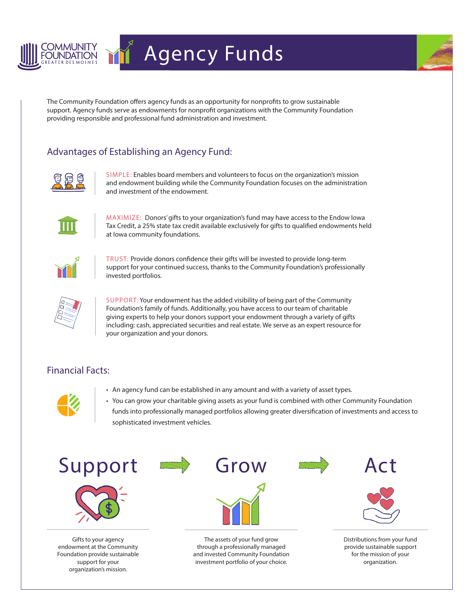

## Agency Funds



The Community Foundation offers agency funds as an opportunity for nonprofits to grow sustainable support. Agency funds serve as endowments for nonprofit organizations with the Community Foundation providing responsible and professional fund administration and investment.

## Advantages of Establishing an Agency Fund:



SIMPLE: Enables board members and volunteers to focus on the organization's mission and endowment building while the Community Foundation focuses on the administration and investment of the endowment.



MAXIMIZE: Donors' gifts to your organization's fund may have access to the Endow Iowa Tax Credit, a 25% state tax credit available exclusively for gifts to qualified endowments held at Iowa community foundations.



TRUST: Provide donors confidence their gifts will be invested to provide long-term support for your continued success, thanks to the Community Foundation's professionally invested portfolios.



SUPPORT: Your endowment has the added visibility of being part of the Community Foundation's family of funds. Additionally, you have access to our team of charitable giving experts to help your donors support your endowment through a variety of gifts including: cash, appreciated securities and real estate. We serve as an expert resource for your organization and your donors.

## Financial Facts:



- An agency fund can be established in any amount and with a variety of asset types.
- You can grow your charitable giving assets as your fund is combined with other Community Foundation funds into professionally managed portfolios allowing greater diversification of investments and access to sophisticated investment vehicles.



Gifts to your agency endowment at the Community Foundation provide sustainable support for your organization's mission.

The assets of your fund grow through a professionally managed and invested Community Foundation investment portfolio of your choice.

Distributions from your fund provide sustainable support for the mission of your organization.